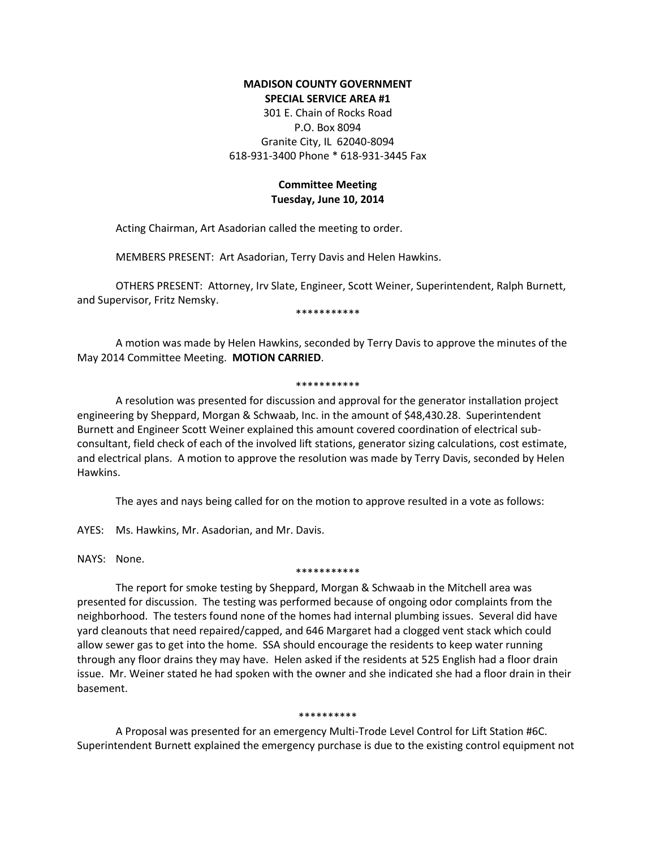# **MADISON COUNTY GOVERNMENT SPECIAL SERVICE AREA #1**

301 E. Chain of Rocks Road P.O. Box 8094 Granite City, IL 62040-8094 618-931-3400 Phone \* 618-931-3445 Fax

# **Committee Meeting Tuesday, June 10, 2014**

Acting Chairman, Art Asadorian called the meeting to order.

MEMBERS PRESENT: Art Asadorian, Terry Davis and Helen Hawkins.

OTHERS PRESENT: Attorney, Irv Slate, Engineer, Scott Weiner, Superintendent, Ralph Burnett, and Supervisor, Fritz Nemsky.

\*\*\*\*\*\*\*\*\*\*\*

A motion was made by Helen Hawkins, seconded by Terry Davis to approve the minutes of the May 2014 Committee Meeting. **MOTION CARRIED**.

## \*\*\*\*\*\*\*\*\*\*\*

A resolution was presented for discussion and approval for the generator installation project engineering by Sheppard, Morgan & Schwaab, Inc. in the amount of \$48,430.28. Superintendent Burnett and Engineer Scott Weiner explained this amount covered coordination of electrical subconsultant, field check of each of the involved lift stations, generator sizing calculations, cost estimate, and electrical plans. A motion to approve the resolution was made by Terry Davis, seconded by Helen Hawkins.

The ayes and nays being called for on the motion to approve resulted in a vote as follows:

AYES: Ms. Hawkins, Mr. Asadorian, and Mr. Davis.

NAYS: None.

## \*\*\*\*\*\*\*\*\*\*\*

The report for smoke testing by Sheppard, Morgan & Schwaab in the Mitchell area was presented for discussion. The testing was performed because of ongoing odor complaints from the neighborhood. The testers found none of the homes had internal plumbing issues. Several did have yard cleanouts that need repaired/capped, and 646 Margaret had a clogged vent stack which could allow sewer gas to get into the home. SSA should encourage the residents to keep water running through any floor drains they may have. Helen asked if the residents at 525 English had a floor drain issue. Mr. Weiner stated he had spoken with the owner and she indicated she had a floor drain in their basement.

## \*\*\*\*\*\*\*\*\*\*

A Proposal was presented for an emergency Multi-Trode Level Control for Lift Station #6C. Superintendent Burnett explained the emergency purchase is due to the existing control equipment not